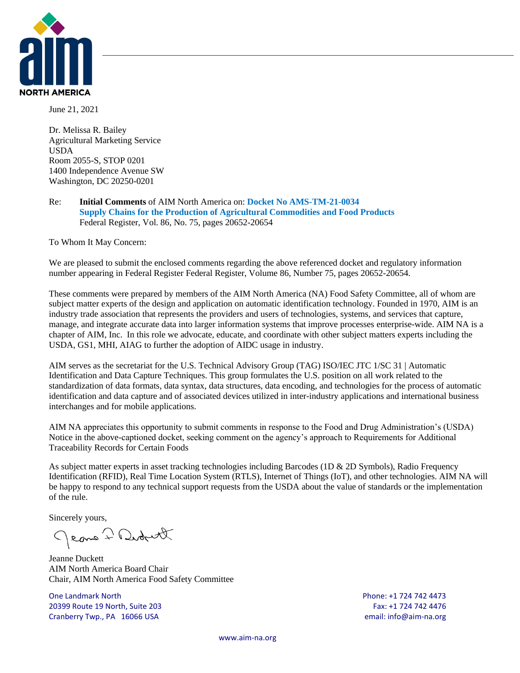

June 21, 2021

Dr. Melissa R. Bailey Agricultural Marketing Service USDA Room 2055-S, STOP 0201 1400 Independence Avenue SW Washington, DC 20250-0201

#### Re: **Initial Comments** of AIM North America on: **Docket No AMS-TM-21-0034 Supply Chains for the Production of Agricultural Commodities and Food Products** Federal Register, Vol. 86, No. 75, pages 20652-20654

To Whom It May Concern:

We are pleased to submit the enclosed comments regarding the above referenced docket and regulatory information number appearing in Federal Register Federal Register, Volume 86, Number 75, pages 20652-20654.

These comments were prepared by members of the AIM North America (NA) Food Safety Committee, all of whom are subject matter experts of the design and application on automatic identification technology. Founded in 1970, AIM is an industry trade association that represents the providers and users of technologies, systems, and services that capture, manage, and integrate accurate data into larger information systems that improve processes enterprise-wide. AIM NA is a chapter of AIM, Inc. In this role we advocate, educate, and coordinate with other subject matters experts including the USDA, GS1, MHI, AIAG to further the adoption of AIDC usage in industry.

AIM serves as the secretariat for the U.S. Technical Advisory Group (TAG) ISO/IEC JTC 1/SC 31 | Automatic Identification and Data Capture Techniques. This group formulates the U.S. position on all work related to the standardization of data formats, data syntax, data structures, data encoding, and technologies for the process of automatic identification and data capture and of associated devices utilized in inter-industry applications and international business interchanges and for mobile applications.

AIM NA appreciates this opportunity to submit comments in response to the Food and Drug Administration's (USDA) Notice in the above-captioned docket, seeking comment on the agency's approach to Requirements for Additional Traceability Records for Certain Foods

As subject matter experts in asset tracking technologies including Barcodes (1D & 2D Symbols), Radio Frequency Identification (RFID), Real Time Location System (RTLS), Internet of Things (IoT), and other technologies. AIM NA will be happy to respond to any technical support requests from the USDA about the value of standards or the implementation of the rule.

Sincerely yours,

Jeane 7 Didnett

Jeanne Duckett AIM North America Board Chair Chair, AIM North America Food Safety Committee

One Landmark North Phone: +1 724 742 4473 20399 Route 19 North, Suite 203 Fax: +1 724 742 4476 Cranberry Twp., PA 16066 USA email: info@aim-na.org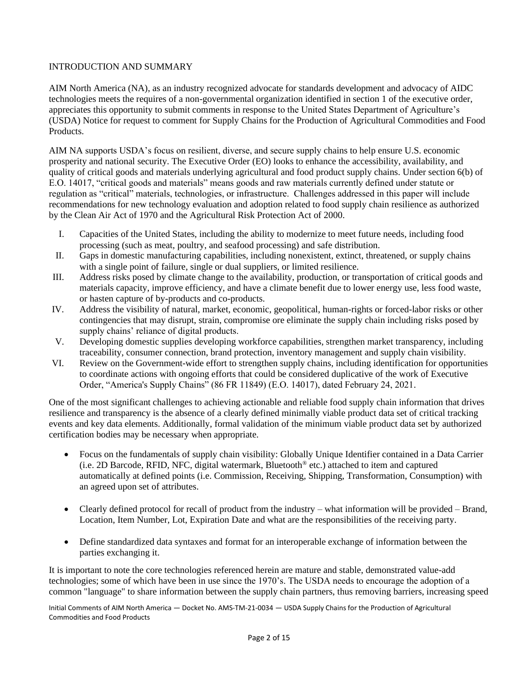# INTRODUCTION AND SUMMARY

AIM North America (NA), as an industry recognized advocate for standards development and advocacy of AIDC technologies meets the requires of a non-governmental organization identified in section 1 of the executive order, appreciates this opportunity to submit comments in response to the United States Department of Agriculture's (USDA) Notice for request to comment for Supply Chains for the Production of Agricultural Commodities and Food Products.

AIM NA supports USDA's focus on resilient, diverse, and secure supply chains to help ensure U.S. economic prosperity and national security. The Executive Order (EO) looks to enhance the accessibility, availability, and quality of critical goods and materials underlying agricultural and food product supply chains. Under section 6(b) of E.O. 14017, "critical goods and materials" means goods and raw materials currently defined under statute or regulation as "critical" materials, technologies, or infrastructure. Challenges addressed in this paper will include recommendations for new technology evaluation and adoption related to food supply chain resilience as authorized by the Clean Air Act of 1970 and the Agricultural Risk Protection Act of 2000.

- I. Capacities of the United States, including the ability to modernize to meet future needs, including food processing (such as meat, poultry, and seafood processing) and safe distribution.
- II. Gaps in domestic manufacturing capabilities, including nonexistent, extinct, threatened, or supply chains with a single point of failure, single or dual suppliers, or limited resilience.
- III. Address risks posed by climate change to the availability, production, or transportation of critical goods and materials capacity, improve efficiency, and have a climate benefit due to lower energy use, less food waste, or hasten capture of by-products and co-products.
- IV. Address the visibility of natural, market, economic, geopolitical, human-rights or forced-labor risks or other contingencies that may disrupt, strain, compromise ore eliminate the supply chain including risks posed by supply chains' reliance of digital products.
- V. Developing domestic supplies developing workforce capabilities, strengthen market transparency, including traceability, consumer connection, brand protection, inventory management and supply chain visibility.
- VI. Review on the Government-wide effort to strengthen supply chains, including identification for opportunities to coordinate actions with ongoing efforts that could be considered duplicative of the work of Executive Order, "America's Supply Chains" (86 FR 11849) (E.O. 14017), dated February 24, 2021.

One of the most significant challenges to achieving actionable and reliable food supply chain information that drives resilience and transparency is the absence of a clearly defined minimally viable product data set of critical tracking events and key data elements. Additionally, formal validation of the minimum viable product data set by authorized certification bodies may be necessary when appropriate.

- Focus on the fundamentals of supply chain visibility: Globally Unique Identifier contained in a Data Carrier (i.e. 2D Barcode, RFID, NFC, digital watermark, Bluetooth® etc.) attached to item and captured automatically at defined points (i.e. Commission, Receiving, Shipping, Transformation, Consumption) with an agreed upon set of attributes.
- Clearly defined protocol for recall of product from the industry what information will be provided Brand, Location, Item Number, Lot, Expiration Date and what are the responsibilities of the receiving party.
- Define standardized data syntaxes and format for an interoperable exchange of information between the parties exchanging it.

It is important to note the core technologies referenced herein are mature and stable, demonstrated value-add technologies; some of which have been in use since the 1970's. The USDA needs to encourage the adoption of a common "language" to share information between the supply chain partners, thus removing barriers, increasing speed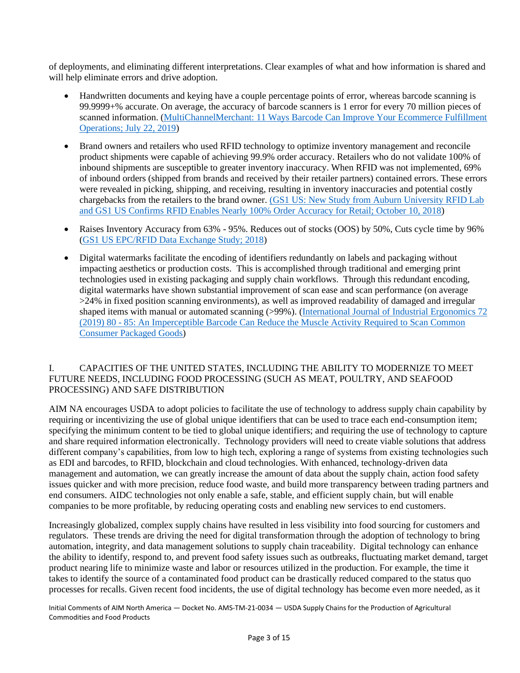of deployments, and eliminating different interpretations. Clear examples of what and how information is shared and will help eliminate errors and drive adoption.

- Handwritten documents and keying have a couple percentage points of error, whereas barcode scanning is 99.9999+% accurate. On average, the accuracy of barcode scanners is 1 error for every 70 million pieces of scanned information. [\(MultiChannelMerchant: 11 Ways Barcode Can Improve Your Ecommerce Fulfillment](https://multichannelmerchant.com/blog/11-ways-barcode-can-improve-ecommerce-fulfillment-operations/#:~:text=Handwritten%20documents%20and%20keying%20have,million%20pieces%20of%20scanned%20information)  [Operations; July 22, 2019\)](https://multichannelmerchant.com/blog/11-ways-barcode-can-improve-ecommerce-fulfillment-operations/#:~:text=Handwritten%20documents%20and%20keying%20have,million%20pieces%20of%20scanned%20information)
- Brand owners and retailers who used RFID technology to optimize inventory management and reconcile product shipments were capable of achieving 99.9% order accuracy. Retailers who do not validate 100% of inbound shipments are susceptible to greater inventory inaccuracy. When RFID was not implemented, 69% of inbound orders (shipped from brands and received by their retailer partners) contained errors. These errors were revealed in picking, shipping, and receiving, resulting in inventory inaccuracies and potential costly chargebacks from the retailers to the brand owner. (GS1 US: New Study from Auburn University RFID Lab [and GS1 US Confirms RFID Enables Nearly 100% Order Accuracy for Retail; October 10, 2018\)](https://www.gs1us.org/what-we-do/about-gs1-us/media-center/press-releases/detail/articleid/1296/new-study-from-the-auburn-university-rfid-lab-and-gs1-us-confirms-rfid-enables-nearly-100-order-accuracy-for-retail)
- Raises Inventory Accuracy from 63% 95%. Reduces out of stocks (OOS) by 50%, Cuts cycle time by 96% [\(GS1 US EPC/RFID Data Exchange Study; 2018\)](https://www.gs1us.org/DesktopModules/Bring2mind/DMX/Download.aspx?Command=Core_Download&EntryId=1510&language=en-US&PortalId=0&TabId=134)
- Digital watermarks facilitate the encoding of identifiers redundantly on labels and packaging without impacting aesthetics or production costs. This is accomplished through traditional and emerging print technologies used in existing packaging and supply chain workflows. Through this redundant encoding, digital watermarks have shown substantial improvement of scan ease and scan performance (on average >24% in fixed position scanning environments), as well as improved readability of damaged and irregular shaped items with manual or automated scanning (>99%). (International Journal of Industrial Ergonomics 72 (2019) 80 - [85: An Imperceptible Barcode Can Reduce the Muscle Activity Required to Scan Common](https://www.digimarc.com/docs/default-source/default-document-library/international-journal-of-industrial-ergonomics.pdf?sfvrsn=60eaf237_2)  [Consumer Packaged Goods\)](https://www.digimarc.com/docs/default-source/default-document-library/international-journal-of-industrial-ergonomics.pdf?sfvrsn=60eaf237_2)

# I. CAPACITIES OF THE UNITED STATES, INCLUDING THE ABILITY TO MODERNIZE TO MEET FUTURE NEEDS, INCLUDING FOOD PROCESSING (SUCH AS MEAT, POULTRY, AND SEAFOOD PROCESSING) AND SAFE DISTRIBUTION

AIM NA encourages USDA to adopt policies to facilitate the use of technology to address supply chain capability by requiring or incentivizing the use of global unique identifiers that can be used to trace each end-consumption item; specifying the minimum content to be tied to global unique identifiers; and requiring the use of technology to capture and share required information electronically. Technology providers will need to create viable solutions that address different company's capabilities, from low to high tech, exploring a range of systems from existing technologies such as EDI and barcodes, to RFID, blockchain and cloud technologies. With enhanced, technology-driven data management and automation, we can greatly increase the amount of data about the supply chain, action food safety issues quicker and with more precision, reduce food waste, and build more transparency between trading partners and end consumers. AIDC technologies not only enable a safe, stable, and efficient supply chain, but will enable companies to be more profitable, by reducing operating costs and enabling new services to end customers.

Increasingly globalized, complex supply chains have resulted in less visibility into food sourcing for customers and regulators. These trends are driving the need for digital transformation through the adoption of technology to bring automation, integrity, and data management solutions to supply chain traceability. Digital technology can enhance the ability to identify, respond to, and prevent food safety issues such as outbreaks, fluctuating market demand, target product nearing life to minimize waste and labor or resources utilized in the production. For example, the time it takes to identify the source of a contaminated food product can be drastically reduced compared to the status quo processes for recalls. Given recent food incidents, the use of digital technology has become even more needed, as it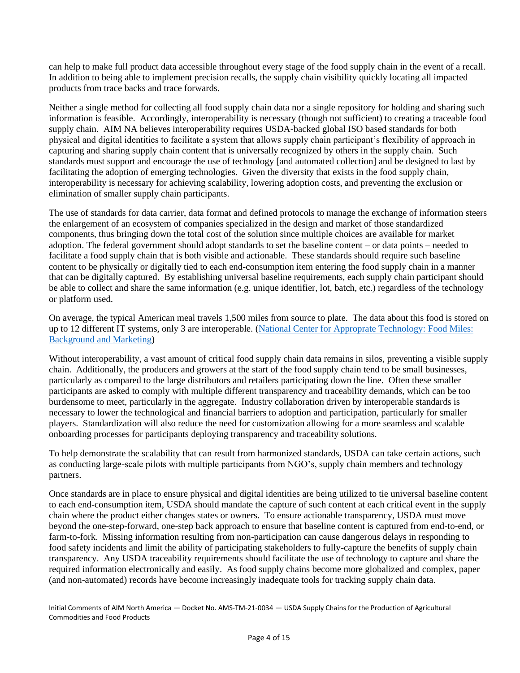can help to make full product data accessible throughout every stage of the food supply chain in the event of a recall. In addition to being able to implement precision recalls, the supply chain visibility quickly locating all impacted products from trace backs and trace forwards.

Neither a single method for collecting all food supply chain data nor a single repository for holding and sharing such information is feasible. Accordingly, interoperability is necessary (though not sufficient) to creating a traceable food supply chain. AIM NA believes interoperability requires USDA-backed global ISO based standards for both physical and digital identities to facilitate a system that allows supply chain participant's flexibility of approach in capturing and sharing supply chain content that is universally recognized by others in the supply chain. Such standards must support and encourage the use of technology [and automated collection] and be designed to last by facilitating the adoption of emerging technologies. Given the diversity that exists in the food supply chain, interoperability is necessary for achieving scalability, lowering adoption costs, and preventing the exclusion or elimination of smaller supply chain participants.

The use of standards for data carrier, data format and defined protocols to manage the exchange of information steers the enlargement of an ecosystem of companies specialized in the design and market of those standardized components, thus bringing down the total cost of the solution since multiple choices are available for market adoption. The federal government should adopt standards to set the baseline content – or data points – needed to facilitate a food supply chain that is both visible and actionable. These standards should require such baseline content to be physically or digitally tied to each end-consumption item entering the food supply chain in a manner that can be digitally captured. By establishing universal baseline requirements, each supply chain participant should be able to collect and share the same information (e.g. unique identifier, lot, batch, etc.) regardless of the technology or platform used.

On average, the typical American meal travels 1,500 miles from source to plate. The data about this food is stored on up to 12 different IT systems, only 3 are interoperable. [\(National Center for Approprate Technology: Food Miles:](https://attra.ncat.org/product/food-miles-background-and-marketing/)  [Background and Marketing\)](https://attra.ncat.org/product/food-miles-background-and-marketing/)

Without interoperability, a vast amount of critical food supply chain data remains in silos, preventing a visible supply chain. Additionally, the producers and growers at the start of the food supply chain tend to be small businesses, particularly as compared to the large distributors and retailers participating down the line. Often these smaller participants are asked to comply with multiple different transparency and traceability demands, which can be too burdensome to meet, particularly in the aggregate. Industry collaboration driven by interoperable standards is necessary to lower the technological and financial barriers to adoption and participation, particularly for smaller players. Standardization will also reduce the need for customization allowing for a more seamless and scalable onboarding processes for participants deploying transparency and traceability solutions.

To help demonstrate the scalability that can result from harmonized standards, USDA can take certain actions, such as conducting large-scale pilots with multiple participants from NGO's, supply chain members and technology partners.

Once standards are in place to ensure physical and digital identities are being utilized to tie universal baseline content to each end-consumption item, USDA should mandate the capture of such content at each critical event in the supply chain where the product either changes states or owners. To ensure actionable transparency, USDA must move beyond the one-step-forward, one-step back approach to ensure that baseline content is captured from end-to-end, or farm-to-fork. Missing information resulting from non-participation can cause dangerous delays in responding to food safety incidents and limit the ability of participating stakeholders to fully-capture the benefits of supply chain transparency. Any USDA traceability requirements should facilitate the use of technology to capture and share the required information electronically and easily. As food supply chains become more globalized and complex, paper (and non-automated) records have become increasingly inadequate tools for tracking supply chain data.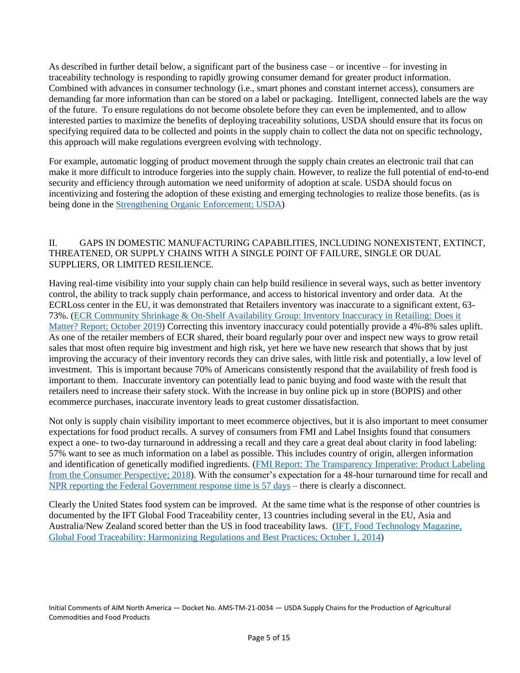As described in further detail below, a significant part of the business case – or incentive – for investing in traceability technology is responding to rapidly growing consumer demand for greater product information. Combined with advances in consumer technology (i.e., smart phones and constant internet access), consumers are demanding far more information than can be stored on a label or packaging. Intelligent, connected labels are the way of the future. To ensure regulations do not become obsolete before they can even be implemented, and to allow interested parties to maximize the benefits of deploying traceability solutions, USDA should ensure that its focus on specifying required data to be collected and points in the supply chain to collect the data not on specific technology, this approach will make regulations evergreen evolving with technology.

For example, automatic logging of product movement through the supply chain creates an electronic trail that can make it more difficult to introduce forgeries into the supply chain. However, to realize the full potential of end-to-end security and efficiency through automation we need uniformity of adoption at scale. USDA should focus on incentivizing and fostering the adoption of these existing and emerging technologies to realize those benefits. (as is being done in the [Strengthening Organic Enforcement; USDA\)](https://www.ams.usda.gov/rules-regulations/strengthening-organic-enforcement-proposed-rule)

# II. GAPS IN DOMESTIC MANUFACTURING CAPABILITIES, INCLUDING NONEXISTENT, EXTINCT, THREATENED, OR SUPPLY CHAINS WITH A SINGLE POINT OF FAILURE, SINGLE OR DUAL SUPPLIERS, OR LIMITED RESILIENCE.

Having real-time visibility into your supply chain can help build resilience in several ways, such as better inventory control, the ability to track supply chain performance, and access to historical inventory and order data. At the ECRLoss center in the EU, it was demonstrated that Retailers inventory was inaccurate to a significant extent, 63- 73%. [\(ECR Community Shrinkage & On-Shelf Availability Group: Inventory Inaccuracy in Retailing: Does it](https://cpb-eu-c1.wpmucdn.com/sites-wordpress.em-lyon.com/dist/e/34/files/2019/11/Final-Report-on-IRA1.pdf).)  Matter? [Report; October 2019\)](https://cpb-eu-c1.wpmucdn.com/sites-wordpress.em-lyon.com/dist/e/34/files/2019/11/Final-Report-on-IRA1.pdf).) Correcting this inventory inaccuracy could potentially provide a 4%-8% sales uplift. As one of the retailer members of ECR shared, their board regularly pour over and inspect new ways to grow retail sales that most often require big investment and high risk, yet here we have new research that shows that by just improving the accuracy of their inventory records they can drive sales, with little risk and potentially, a low level of investment. This is important because 70% of Americans consistently respond that the availability of fresh food is important to them. Inaccurate inventory can potentially lead to panic buying and food waste with the result that retailers need to increase their safety stock. With the increase in buy online pick up in store (BOPIS) and other ecommerce purchases, inaccurate inventory leads to great customer dissatisfaction.

Not only is supply chain visibility important to meet ecommerce objectives, but it is also important to meet consumer expectations for food product recalls. A survey of consumers from FMI and Label Insights found that consumers expect a one- to two-day turnaround in addressing a recall and they care a great deal about clarity in food labeling: 57% want to see as much information on a label as possible. This includes country of origin, allergen information and identification of genetically modified ingredients. [\(FMI Report: The Transparency Imperative: Product Labeling](https://www.ift.org/news-and-publications/food-technology-magazine/issues/2014/october/features/traceability)  [from the Consumer Perspective; 2018\)](https://www.ift.org/news-and-publications/food-technology-magazine/issues/2014/october/features/traceability). With the consumer's expectation for a 48-hour turnaround time for recall and [NPR reporting the Federal Government response time is 57 days](https://www.npr.org/sections/thetwo-way/2017/12/28/573987023/fda-takes-too-long-to-recall-tainted-food-federal-investigators-say) – there is clearly a disconnect.

Clearly the United States food system can be improved. At the same time what is the response of other countries is documented by the IFT Global Food Traceability center, 13 countries including several in the EU, Asia and Australia/New Zealand scored better than the US in food traceability laws. [\(IFT, Food Technology Magazine,](https://www.ift.org/news-and-publications/food-technology-magazine/issues/2014/october/features/traceability)  [Global Food Traceability: Harmonizing Regulations and Best Practices; October 1, 2014\)](https://www.ift.org/news-and-publications/food-technology-magazine/issues/2014/october/features/traceability)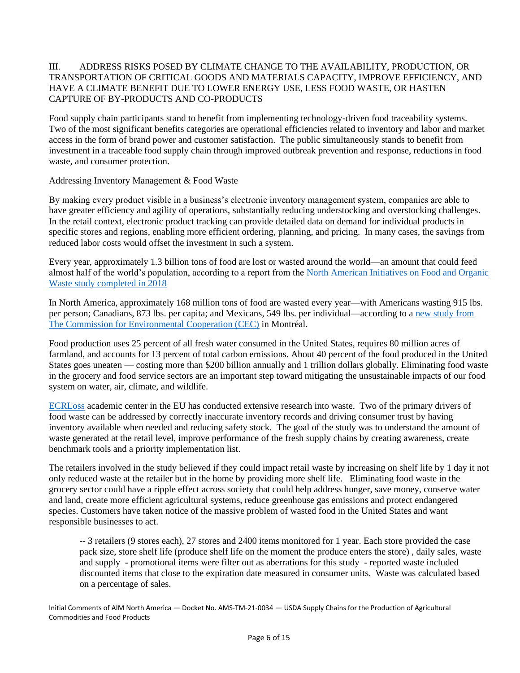# III. ADDRESS RISKS POSED BY CLIMATE CHANGE TO THE AVAILABILITY, PRODUCTION, OR TRANSPORTATION OF CRITICAL GOODS AND MATERIALS CAPACITY, IMPROVE EFFICIENCY, AND HAVE A CLIMATE BENEFIT DUE TO LOWER ENERGY USE, LESS FOOD WASTE, OR HASTEN CAPTURE OF BY-PRODUCTS AND CO-PRODUCTS

Food supply chain participants stand to benefit from implementing technology-driven food traceability systems. Two of the most significant benefits categories are operational efficiencies related to inventory and labor and market access in the form of brand power and customer satisfaction. The public simultaneously stands to benefit from investment in a traceable food supply chain through improved outbreak prevention and response, reductions in food waste, and consumer protection.

# Addressing Inventory Management & Food Waste

By making every product visible in a business's electronic inventory management system, companies are able to have greater efficiency and agility of operations, substantially reducing understocking and overstocking challenges. In the retail context, electronic product tracking can provide detailed data on demand for individual products in specific stores and regions, enabling more efficient ordering, planning, and pricing. In many cases, the savings from reduced labor costs would offset the investment in such a system.

Every year, approximately 1.3 billion tons of food are lost or wasted around the world—an amount that could feed almost half of the world's population, according to a report from the [North American Initiatives on Food and Organic](http://www3.cec.org/islandora/en/item/11771-characterization-and-management-organic-waste-in-north-america-foundational-en.pdf)  [Waste study completed in 2018](http://www3.cec.org/islandora/en/item/11771-characterization-and-management-organic-waste-in-north-america-foundational-en.pdf)

In North America, approximately 168 million tons of food are wasted every year—with Americans wasting 915 lbs. per person; Canadians, 873 lbs. per capita; and Mexicans, 549 lbs. per individual—according to a [new study from](http://www.cec.org/flwm/)  [The Commission for Environmental Cooperation \(CEC\)](http://www.cec.org/flwm/) in Montréal.

Food production uses 25 percent of all fresh water consumed in the United States, requires 80 million acres of farmland, and accounts for 13 percent of total carbon emissions. About 40 percent of the food produced in the United States goes uneaten — costing more than \$200 billion annually and 1 trillion dollars globally. Eliminating food waste in the grocery and food service sectors are an important step toward mitigating the unsustainable impacts of our food system on water, air, climate, and wildlife.

[ECRLoss](https://www.ecrloss.com/) academic center in the EU has conducted extensive research into waste. Two of the primary drivers of food waste can be addressed by correctly inaccurate inventory records and driving consumer trust by having inventory available when needed and reducing safety stock. The goal of the study was to understand the amount of waste generated at the retail level, improve performance of the fresh supply chains by creating awareness, create benchmark tools and a priority implementation list.

The retailers involved in the study believed if they could impact retail waste by increasing on shelf life by 1 day it not only reduced waste at the retailer but in the home by providing more shelf life. Eliminating food waste in the grocery sector could have a ripple effect across society that could help address hunger, save money, conserve water and land, create more efficient agricultural systems, reduce greenhouse gas emissions and protect endangered species. Customers have taken notice of the massive problem of wasted food in the United States and want responsible businesses to act.

-- 3 retailers (9 stores each), 27 stores and 2400 items monitored for 1 year. Each store provided the case pack size, store shelf life (produce shelf life on the moment the produce enters the store) , daily sales, waste and supply - promotional items were filter out as aberrations for this study - reported waste included discounted items that close to the expiration date measured in consumer units. Waste was calculated based on a percentage of sales.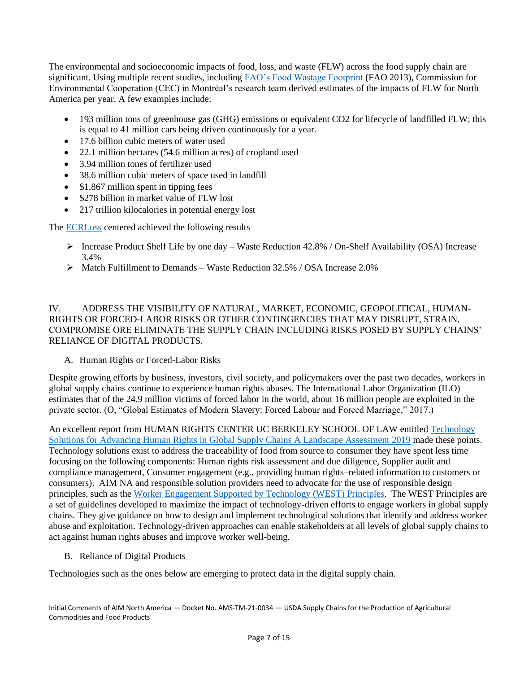The environmental and socioeconomic impacts of food, loss, and waste (FLW) across the food supply chain are significant. Using multiple recent studies, including [FAO's Food Wastage Footprint](http://www.fao.org/3/i3347e/i3347e.pdf) (FAO 2013), Commission for Environmental Cooperation (CEC) in Montréal's research team derived estimates of the impacts of FLW for North America per year. A few examples include:

- 193 million tons of greenhouse gas (GHG) emissions or equivalent CO2 for lifecycle of landfilled FLW; this is equal to 41 million cars being driven continuously for a year.
- 17.6 billion cubic meters of water used
- 22.1 million hectares (54.6 million acres) of cropland used
- 3.94 million tones of fertilizer used
- 38.6 million cubic meters of space used in landfill
- \$1,867 million spent in tipping fees
- \$278 billion in market value of FLW lost
- 217 trillion kilocalories in potential energy lost

The **[ECRLoss](https://ecr-shrink-group.com/medias/research/Waste/2016%20ECR%20report%20final%20version.pdf)** centered achieved the following results

- ➢ Increase Product Shelf Life by one day Waste Reduction 42.8% / On-Shelf Availability (OSA) Increase 3.4%
- $\triangleright$  Match Fulfillment to Demands Waste Reduction 32.5% / OSA Increase 2.0%

IV. ADDRESS THE VISIBILITY OF NATURAL, MARKET, ECONOMIC, GEOPOLITICAL, HUMAN-RIGHTS OR FORCED-LABOR RISKS OR OTHER CONTINGENCIES THAT MAY DISRUPT, STRAIN, COMPROMISE ORE ELIMINATE THE SUPPLY CHAIN INCLUDING RISKS POSED BY SUPPLY CHAINS' RELIANCE OF DIGITAL PRODUCTS.

A. Human Rights or Forced-Labor Risks

Despite growing efforts by business, investors, civil society, and policymakers over the past two decades, workers in global supply chains continue to experience human rights abuses. The International Labor Organization (ILO) estimates that of the 24.9 million victims of forced labor in the world, about 16 million people are exploited in the private sector. (O, "Global Estimates of Modern Slavery: Forced Labour and Forced Marriage," 2017.)

An excellent report from HUMAN RIGHTS CENTER UC BERKELEY SCHOOL OF LAW entitled [Technology](https://humanrights.berkeley.edu/sites/default/files/publications/technology_solutions_for_advancing_human_rights_in_global_supply_chains_june_2019_0.pdf)  [Solutions for Advancing Human Rights in Global Supply Chains A Landscape Assessment 2019](https://humanrights.berkeley.edu/sites/default/files/publications/technology_solutions_for_advancing_human_rights_in_global_supply_chains_june_2019_0.pdf) made these points. Technology solutions exist to address the traceability of food from source to consumer they have spent less time focusing on the following components: Human rights risk assessment and due diligence, Supplier audit and compliance management, Consumer engagement (e.g., providing human rights–related information to customers or consumers). AIM NA and responsible solution providers need to advocate for the use of responsible design principles, such as the [Worker Engagement Supported by Technology \(WEST\) Principles.](https://westprinciples.org/) The WEST Principles are a set of guidelines developed to maximize the impact of technology-driven efforts to engage workers in global supply chains. They give guidance on how to design and implement technological solutions that identify and address worker abuse and exploitation. Technology-driven approaches can enable stakeholders at all levels of global supply chains to act against human rights abuses and improve worker well-being.

B. Reliance of Digital Products

Technologies such as the ones below are emerging to protect data in the digital supply chain.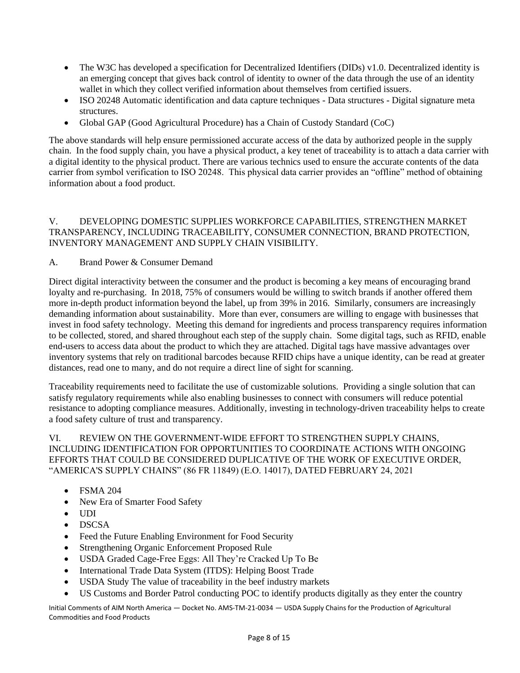- The W3C has developed a specification for Decentralized Identifiers (DIDs) v1.0. Decentralized identity is an emerging concept that gives back control of identity to owner of the data through the use of an identity wallet in which they collect verified information about themselves from certified issuers.
- ISO 20248 Automatic identification and data capture techniques Data structures Digital signature meta structures.
- Global GAP (Good Agricultural Procedure) has a Chain of Custody Standard (CoC)

The above standards will help ensure permissioned accurate access of the data by authorized people in the supply chain. In the food supply chain, you have a physical product, a key tenet of traceability is to attach a data carrier with a digital identity to the physical product. There are various technics used to ensure the accurate contents of the data carrier from symbol verification to ISO 20248. This physical data carrier provides an "offline" method of obtaining information about a food product.

### V. DEVELOPING DOMESTIC SUPPLIES WORKFORCE CAPABILITIES, STRENGTHEN MARKET TRANSPARENCY, INCLUDING TRACEABILITY, CONSUMER CONNECTION, BRAND PROTECTION, INVENTORY MANAGEMENT AND SUPPLY CHAIN VISIBILITY.

# A. Brand Power & Consumer Demand

Direct digital interactivity between the consumer and the product is becoming a key means of encouraging brand loyalty and re-purchasing. In 2018, 75% of consumers would be willing to switch brands if another offered them more in-depth product information beyond the label, up from 39% in 2016. Similarly, consumers are increasingly demanding information about sustainability. More than ever, consumers are willing to engage with businesses that invest in food safety technology. Meeting this demand for ingredients and process transparency requires information to be collected, stored, and shared throughout each step of the supply chain. Some digital tags, such as RFID, enable end-users to access data about the product to which they are attached. Digital tags have massive advantages over inventory systems that rely on traditional barcodes because RFID chips have a unique identity, can be read at greater distances, read one to many, and do not require a direct line of sight for scanning.

Traceability requirements need to facilitate the use of customizable solutions. Providing a single solution that can satisfy regulatory requirements while also enabling businesses to connect with consumers will reduce potential resistance to adopting compliance measures. Additionally, investing in technology-driven traceability helps to create a food safety culture of trust and transparency.

#### VI. REVIEW ON THE GOVERNMENT-WIDE EFFORT TO STRENGTHEN SUPPLY CHAINS, INCLUDING IDENTIFICATION FOR OPPORTUNITIES TO COORDINATE ACTIONS WITH ONGOING EFFORTS THAT COULD BE CONSIDERED DUPLICATIVE OF THE WORK OF EXECUTIVE ORDER, "AMERICA'S SUPPLY CHAINS" (86 FR 11849) (E.O. 14017), DATED FEBRUARY 24, 2021

- FSMA 204
- New Era of Smarter Food Safety
- UDI
- DSCSA
- Feed the Future Enabling Environment for Food Security
- Strengthening Organic Enforcement Proposed Rule
- USDA Graded Cage-Free Eggs: All They're Cracked Up To Be
- International Trade Data System (ITDS): Helping Boost Trade
- USDA Study The value of traceability in the beef industry markets
- US Customs and Border Patrol conducting POC to identify products digitally as they enter the country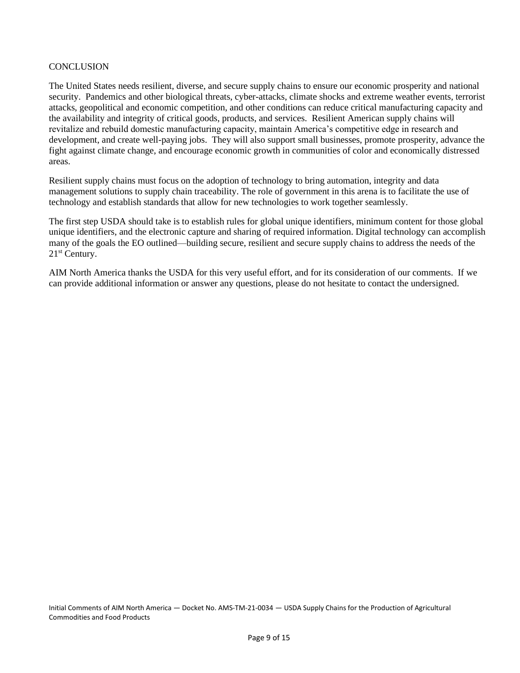#### **CONCLUSION**

The United States needs resilient, diverse, and secure supply chains to ensure our economic prosperity and national security. Pandemics and other biological threats, cyber-attacks, climate shocks and extreme weather events, terrorist attacks, geopolitical and economic competition, and other conditions can reduce critical manufacturing capacity and the availability and integrity of critical goods, products, and services. Resilient American supply chains will revitalize and rebuild domestic manufacturing capacity, maintain America's competitive edge in research and development, and create well-paying jobs. They will also support small businesses, promote prosperity, advance the fight against climate change, and encourage economic growth in communities of color and economically distressed areas.

Resilient supply chains must focus on the adoption of technology to bring automation, integrity and data management solutions to supply chain traceability. The role of government in this arena is to facilitate the use of technology and establish standards that allow for new technologies to work together seamlessly.

The first step USDA should take is to establish rules for global unique identifiers, minimum content for those global unique identifiers, and the electronic capture and sharing of required information. Digital technology can accomplish many of the goals the EO outlined—building secure, resilient and secure supply chains to address the needs of the 21st Century.

AIM North America thanks the USDA for this very useful effort, and for its consideration of our comments. If we can provide additional information or answer any questions, please do not hesitate to contact the undersigned.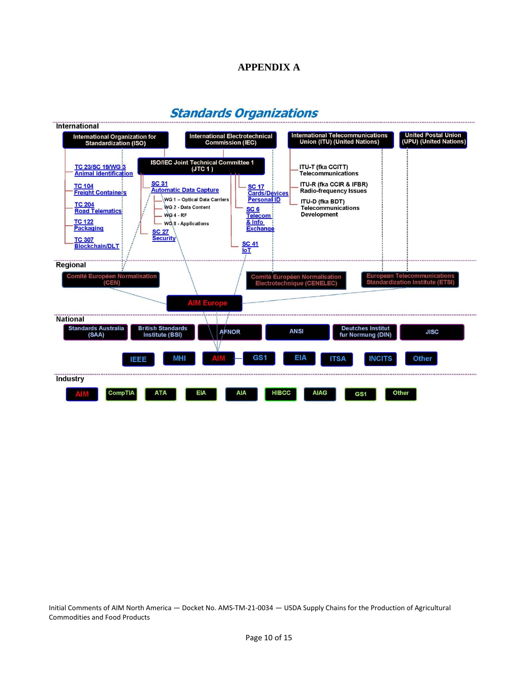# **APPENDIX A**

# **Standards Organizations**

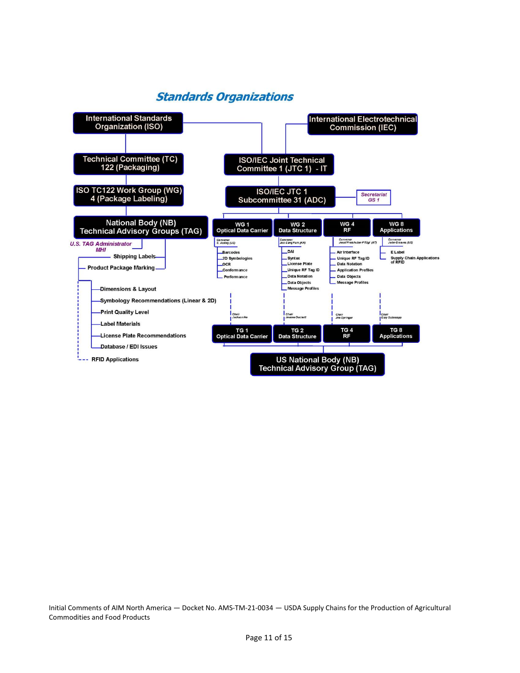# **Standards Organizations**

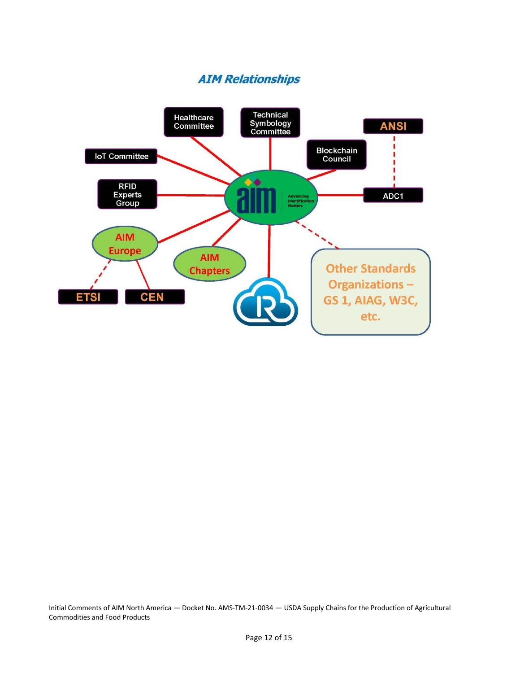# **AIM Relationships**

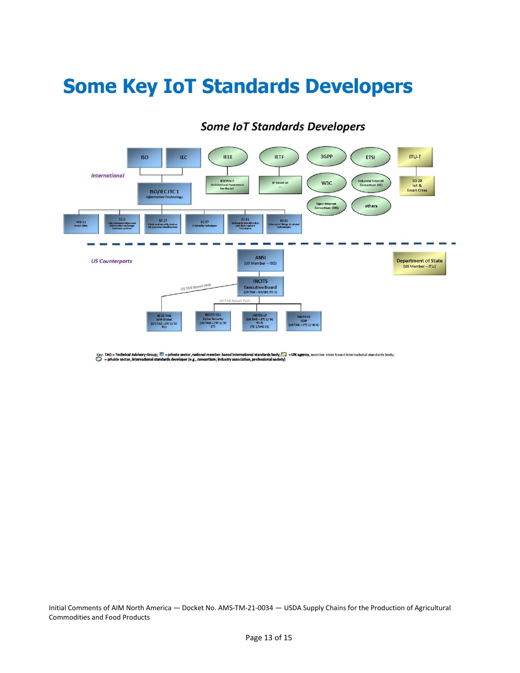# **Some Key IoT Standards Developers**

#### 3GPP **ITU-T ISO** IEC **IEEE IETF** ETSI **International IEEE P2413** Industrial Internet<br>Consortium (IIC) **SG 20** W<sub>3C</sub> IP-based to! loT &<br>Smart Cities ectura<br>for th **ISO/IECJTC1** Open Internet<br>Consortium (OIC) others  $SC<sub>17</sub>$ SC 41  $WG$  11 sc<sub>2</sub> **ANSI US Counterparts Department of State** (US Member -- ISO) (US Member -- ITU) **INCITS** US TAG Report Pot Executive Board<br>(USTAG - ISO/IECJTC 1) INCITS 1<br>(US TAG - JTC 1/ SC<br>41 &<br>JTC 1/WG 11) CITS T r Security<br>3 – JTC 1/ SC<br>27) ODP<br>ISTAG <mark>–</mark> JTC 1/ SC 6)

# **Some IoT Standards Developers**

Key: TAG = Technical Advisory Group;  $\Box$  = private sector, national member-based international standards body;  $\square$  = UN agency, member state-based international standards body;<br> $\bigcirc$  = private sector, international stan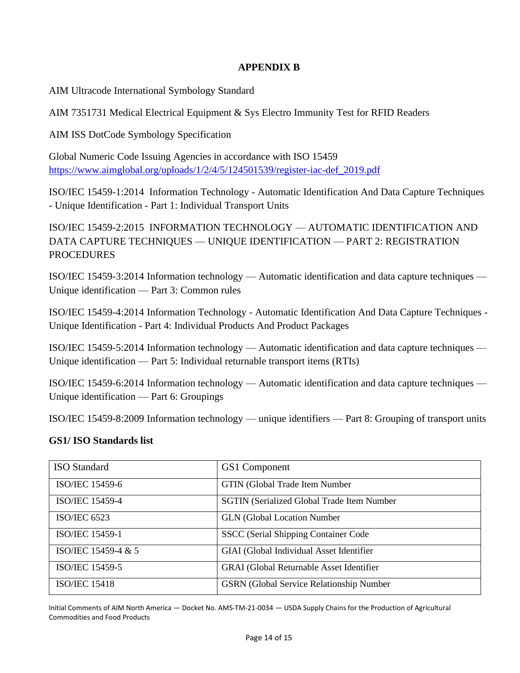# **APPENDIX B**

AIM Ultracode International Symbology Standard

AIM 7351731 Medical Electrical Equipment & Sys Electro Immunity Test for RFID Readers

AIM ISS DotCode Symbology Specification

Global Numeric Code Issuing Agencies in accordance with ISO 15459 [https://www.aimglobal.org/uploads/1/2/4/5/124501539/register-iac-def\\_2019.pdf](https://www.aimglobal.org/uploads/1/2/4/5/124501539/register-iac-def_2019.pdf)

ISO/IEC 15459-1:2014 Information Technology - Automatic Identification And Data Capture Techniques - Unique Identification - Part 1: Individual Transport Units

ISO/IEC 15459-2:2015 INFORMATION TECHNOLOGY — AUTOMATIC IDENTIFICATION AND DATA CAPTURE TECHNIQUES — UNIQUE IDENTIFICATION — PART 2: REGISTRATION PROCEDURES

ISO/IEC 15459-3:2014 Information technology — Automatic identification and data capture techniques — Unique identification — Part 3: Common rules

ISO/IEC 15459-4:2014 Information Technology - Automatic Identification And Data Capture Techniques - Unique Identification - Part 4: Individual Products And Product Packages

ISO/IEC 15459-5:2014 Information technology — Automatic identification and data capture techniques — Unique identification — Part 5: Individual returnable transport items (RTIs)

ISO/IEC 15459-6:2014 Information technology — Automatic identification and data capture techniques — Unique identification — Part 6: Groupings

ISO/IEC 15459-8:2009 Information technology — unique identifiers — Part 8: Grouping of transport units

# **GS1/ ISO Standards list**

| <b>ISO</b> Standard    | GS1 Component                                     |
|------------------------|---------------------------------------------------|
| ISO/IEC 15459-6        | <b>GTIN</b> (Global Trade Item Number             |
| <b>ISO/IEC 15459-4</b> | <b>SGTIN</b> (Serialized Global Trade Item Number |
| <b>ISO/IEC 6523</b>    | <b>GLN</b> (Global Location Number                |
| <b>ISO/IEC 15459-1</b> | SSCC (Serial Shipping Container Code              |
| ISO/IEC 15459-4 & 5    | GIAI (Global Individual Asset Identifier          |
| ISO/IEC 15459-5        | <b>GRAI</b> (Global Returnable Asset Identifier   |
| <b>ISO/IEC 15418</b>   | <b>GSRN</b> (Global Service Relationship Number)  |